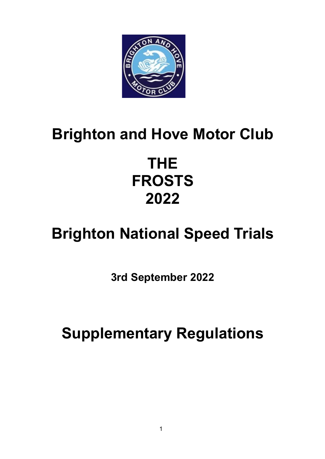

## **Brighton and Hove Motor Club**

## **THE FROSTS 2022**

# **Brighton National Speed Trials**

**3rd September 2022**

**Supplementary Regulations**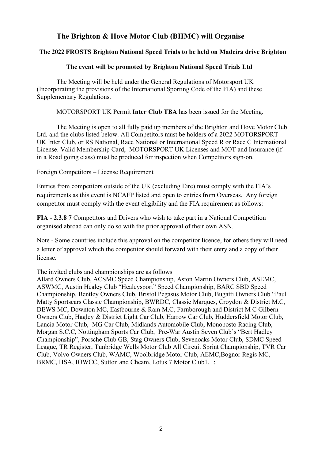## **The Brighton & Hove Motor Club (BHMC) will Organise**

## **The 2022 FROSTS Brighton National Speed Trials to be held on Madeira drive Brighton**

## **The event will be promoted by Brighton National Speed Trials Ltd**

The Meeting will be held under the General Regulations of Motorsport UK (Incorporating the provisions of the International Sporting Code of the FIA) and these Supplementary Regulations.

MOTORSPORT UK Permit **Inter Club TBA** has been issued for the Meeting.

The Meeting is open to all fully paid up members of the Brighton and Hove Motor Club Ltd. and the clubs listed below. All Competitors must be holders of a 2022 MOTORSPORT UK Inter Club, or RS National, Race National or International Speed R or Race C International License. Valid Membership Card, MOTORSPORT UK Licenses and MOT and Insurance (if in a Road going class) must be produced for inspection when Competitors sign-on.

#### Foreign Competitors – License Requirement

Entries from competitors outside of the UK (excluding Eire) must comply with the FIA's requirements as this event is NCAFP listed and open to entries from Overseas. Any foreign competitor must comply with the event eligibility and the FIA requirement as follows:

**FIA - 2.3.8 7** Competitors and Drivers who wish to take part in a National Competition organised abroad can only do so with the prior approval of their own ASN.

Note - Some countries include this approval on the competitor licence, for others they will need a letter of approval which the competitor should forward with their entry and a copy of their license.

The invited clubs and championships are as follows

Allard Owners Club, ACSMC Speed Championship, Aston Martin Owners Club, ASEMC, ASWMC, Austin Healey Club "Healeysport" Speed Championship, BARC SBD Speed Championship, Bentley Owners Club, Bristol Pegasus Motor Club, Bugatti Owners Club "Paul Matty Sportscars Classic Championship, BWRDC, Classic Marques, Croydon & District M.C, DEWS MC, Downton MC, Eastbourne & Ram M.C, Farnborough and District M C Gilbern Owners Club, Hagley & District Light Car Club, Harrow Car Club, Huddersfield Motor Club, Lancia Motor Club, MG Car Club, Midlands Automobile Club, Monoposto Racing Club, Morgan S.C.C, Nottingham Sports Car Club, Pre-War Austin Seven Club's "Bert Hadley Championship", Porsche Club GB, Stag Owners Club, Sevenoaks Motor Club, SDMC Speed League, TR Register, Tunbridge Wells Motor Club All Circuit Sprint Championship, TVR Car Club, Volvo Owners Club, WAMC, Woolbridge Motor Club, AEMC,Bognor Regis MC, BRMC, HSA, IOWCC, Sutton and Cheam, Lotus 7 Motor Club1. :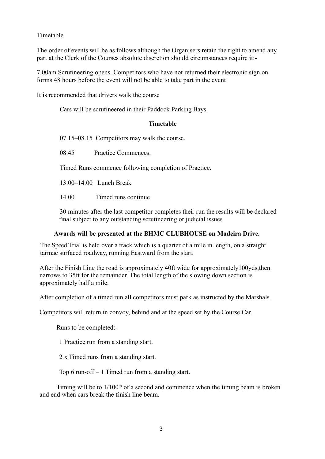## Timetable

The order of events will be as follows although the Organisers retain the right to amend any part at the Clerk of the Courses absolute discretion should circumstances require it:-

7.00am Scrutineering opens. Competitors who have not returned their electronic sign on forms 48 hours before the event will not be able to take part in the event

It is recommended that drivers walk the course

Cars will be scrutineered in their Paddock Parking Bays.

#### **Timetable**

07.15–08.15 Competitors may walk the course.

08.45 Practice Commences.

Timed Runs commence following completion of Practice.

13.00–14.00 Lunch Break

14.00 Timed runs continue

30 minutes after the last competitor completes their run the results will be declared final subject to any outstanding scrutineering or judicial issues

## **Awards will be presented at the BHMC CLUBHOUSE on Madeira Drive.**

The Speed Trial is held over a track which is a quarter of a mile in length, on a straight tarmac surfaced roadway, running Eastward from the start.

After the Finish Line the road is approximately 40ft wide for approximately100yds,then narrows to 35ft for the remainder. The total length of the slowing down section is approximately half a mile.

After completion of a timed run all competitors must park as instructed by the Marshals.

Competitors will return in convoy, behind and at the speed set by the Course Car.

Runs to be completed:-

1 Practice run from a standing start.

2 x Timed runs from a standing start.

Top 6 run-off – 1 Timed run from a standing start.

Timing will be to  $1/100<sup>th</sup>$  of a second and commence when the timing beam is broken and end when cars break the finish line beam.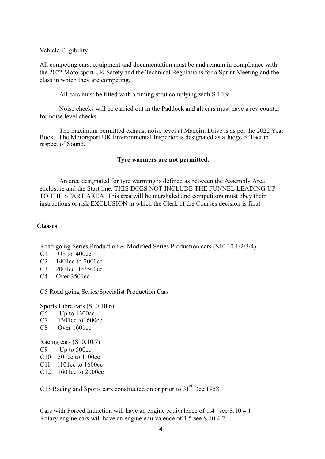Vehicle Eligibility:

All competing cars, equipment and documentation must be and remain in compliance with the 2022 Motorsport UK Safety and the Technical Regulations for a Sprint Meeting and the class in which they are competing.

All cars must be fitted with a timing strut complying with S.10.9.

Noise checks will be carried out in the Paddock and all cars must have a rev counter for noise level checks.

The maximum permitted exhaust noise level at Madeira Drive is as per the 2022 Year Book. The Motorsport UK Environmental Inspector is designated as a Judge of Fact in respect of Sound.

#### **Tyre warmers are not permitted.**

An area designated for tyre warming is defined as between the Assembly Area enclosure and the Start line. THIS DOES NOT INCLUDE THE FUNNEL LEADING UP TO THE START AREA This area will be marshaled and competitors must obey their instructions or risk EXCLUSION in which the Clerk of the Courses decision is final

#### **Classes**

.

. Road going Series Production & Modified Series Production cars (S10.10.1/2/3/4)

- C1 Up to1400cc
- C2 1401cc to 2000cc
- C3 2001cc to3500cc
- C4 Over 3501cc

C5 Road going Series/Specialist Production Cars

Sports Libre cars (S10.10.6)

- $\frac{\text{C6}}{\text{C7}}$  Up to 1300cc<br>C7 1301cc to 1600
- $1301cc$  to  $1600cc$
- C8 Over 1601cc

Racing cars (S10.10.7)

- C9 Up to 500cc
- C10 501cc to 1100cc
- C11 1101cc to 1600cc
- C12 1601cc to 2000cc

C13 Racing and Sports cars constructed on or prior to 31<sup>st</sup> Dec 1958

Cars with Forced Induction will have an engine equivalence of 1.4 see S.10.4.1 Rotary engine cars will have an engine equivalence of 1.5 see S.10.4.2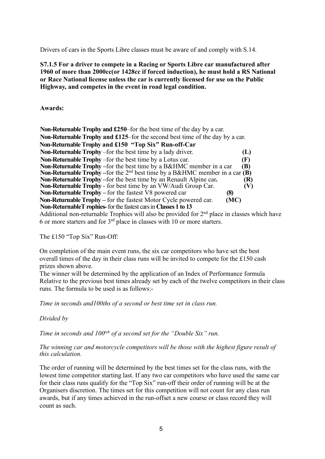Drivers of cars in the Sports Libre classes must be aware of and comply with S.14.

**S7.1.5 For a driver to compete in a Racing or Sports Libre car manufactured after 1960 of more than 2000cc(or 1428cc if forced induction), he must hold a RS National or Race National license unless the car is currently licensed for use on the Public Highway, and competes in the event in road legal condition.**

**Awards:**

| <b>Non-Returnable Trophy and £250–for the best time of the day by a car.</b>                   |     |  |
|------------------------------------------------------------------------------------------------|-----|--|
| <b>Non-Returnable Trophy and £125</b> –for the second best time of the day by a car.           |     |  |
| Non-Returnable Trophy and £150 "Top Six" Run-off-Car                                           |     |  |
| Non-Returnable Trophy – for the best time by a lady driver.                                    | (L) |  |
| Non-Returnable Trophy – for the best time by a Lotus car.                                      | (F) |  |
| <b>Non-Returnable Trophy</b> – for the best time by a B&HMC member in a car                    | (B) |  |
| <b>Non-Returnable Trophy</b> – for the $2nd$ best time by a B&HMC member in a car ( <b>B</b> ) |     |  |
| <b>Non-Returnable Trophy</b> – for the best time by an Renault Alpine car.                     | (R) |  |
| <b>Non-Returnable Trophy</b> - for best time by an VW/Audi Group Car.                          | (V) |  |
| <b>Non-Returnable Trophy</b> – for the fastest V8 powered car<br>(8)                           |     |  |
| <b>Non-Returnable Trophy – for the fastest Motor Cycle powered car.</b><br>(MC)                |     |  |
| Non-Returnable T rophies- for the fastest cars in Classes 1 to 13                              |     |  |
| Additional non-returnable Trophies will also be provided for $2nd$ place in classes which have |     |  |
| 6 or more starters and for $3rd$ place in classes with 10 or more starters.                    |     |  |

The £150 "Top Six" Run-Off:

On completion of the main event runs, the six car competitors who have set the best overall times of the day in their class runs will be invited to compete for the £150 cash prizes shown above.

The winner will be determined by the application of an Index of Performance formula Relative to the previous best times already set by each of the twelve competitors in their class runs. The formula to be used is as follows:-

*Time in seconds and100ths of a second or best time set in class run.* 

*Divided by*

*Time in seconds and 100tsh of a second set for the "Double Six" run.*

*The winning car and motorcycle competitors will be those with the highest figure result of this calculation.*

The order of running will be determined by the best times set for the class runs, with the lowest time competitor starting last. If any two car competitors who have used the same car for their class runs qualify for the "Top Six" run-off their order of running will be at the Organisers discretion. The times set for this competition will not count for any class run awards, but if any times achieved in the run-offset a new course or class record they will count as such.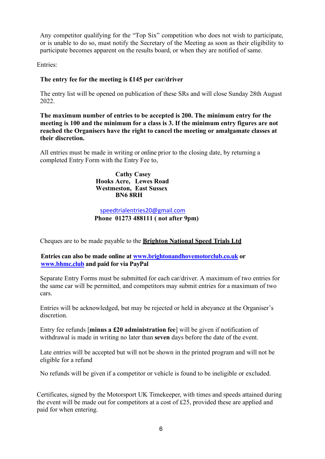Any competitor qualifying for the "Top Six" competition who does not wish to participate, or is unable to do so, must notify the Secretary of the Meeting as soon as their eligibility to participate becomes apparent on the results board, or when they are notified of same.

Entries:

## **The entry fee for the meeting is £145 per car/driver**

The entry list will be opened on publication of these SRs and will close Sunday 28th August 2022.

**The maximum number of entries to be accepted is 200. The minimum entry for the meeting is 100 and the minimum for a class is 3. If the minimum entry figures are not reached the Organisers have the right to cancel the meeting or amalgamate classes at their discretion.**

All entries must be made in writing or online prior to the closing date, by returning a completed Entry Form with the Entry Fee to,

> **Cathy Casey Hooks Acre, Lewes Road Westmeston, East Sussex BN6 8RH**

 speedtrialentries20@gmail.com  **Phone 01273 488111 ( not after 9pm)**

Cheques are to be made payable to the **Brighton National Speed Trials Ltd**

**Entries can also be made online at www.brightonandhovemotorclub.co.uk or www.bhmc.club and paid for via PayPal**

Separate Entry Forms must be submitted for each car/driver. A maximum of two entries for the same car will be permitted, and competitors may submit entries for a maximum of two cars.

Entries will be acknowledged, but may be rejected or held in abeyance at the Organiser's discretion.

Entry fee refunds [**minus a £20 administration fee**] will be given if notification of withdrawal is made in writing no later than **seven** days before the date of the event.

Late entries will be accepted but will not be shown in the printed program and will not be eligible for a refund

No refunds will be given if a competitor or vehicle is found to be ineligible or excluded.

Certificates, signed by the Motorsport UK Timekeeper, with times and speeds attained during the event will be made out for competitors at a cost of £25, provided these are applied and paid for when entering.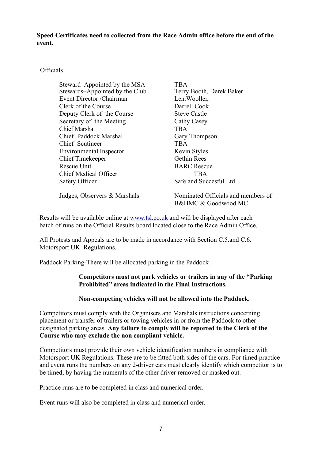**Speed Certificates need to collected from the Race Admin office before the end of the event.**

### **Officials**

| Steward–Appointed by the MSA   | <b>TBA</b>               |
|--------------------------------|--------------------------|
| Stewards-Appointed by the Club | Terry Booth, Derek Baker |
| Event Director / Chairman      | Len. Wooller,            |
| Clerk of the Course            | Darrell Cook             |
| Deputy Clerk of the Course     | <b>Steve Castle</b>      |
| Secretary of the Meeting       | Cathy Casey              |
| <b>Chief Marshal</b>           | <b>TBA</b>               |
| Chief Paddock Marshal          | Gary Thompson            |
| Chief Scutineer                | <b>TBA</b>               |
| Environmental Inspector        | Kevin Styles             |
| Chief Timekeeper               | <b>Gethin Rees</b>       |
| Rescue Unit                    | <b>BARC</b> Rescue       |
| <b>Chief Medical Officer</b>   | <b>TBA</b>               |
| Safety Officer                 | Safe and Succesful Ltd   |
|                                |                          |

Judges, Observers & Marshals Nominated Officials and members of B&HMC & Goodwood MC

Results will be available online at www.tsl.co.uk and will be displayed after each batch of runs on the Official Results board located close to the Race Admin Office.

All Protests and Appeals are to be made in accordance with Section C.5.and C.6. Motorsport UK Regulations.

Paddock Parking-There will be allocated parking in the Paddock

## **Competitors must not park vehicles or trailers in any of the "Parking Prohibited" areas indicated in the Final Instructions.**

## **Non-competing vehicles will not be allowed into the Paddock.**

Competitors must comply with the Organisers and Marshals instructions concerning placement or transfer of trailers or towing vehicles in or from the Paddock to other designated parking areas. **Any failure to comply will be reported to the Clerk of the Course who may exclude the non compliant vehicle.**

Competitors must provide their own vehicle identification numbers in compliance with Motorsport UK Regulations. These are to be fitted both sides of the cars. For timed practice and event runs the numbers on any 2-driver cars must clearly identify which competitor is to be timed, by having the numerals of the other driver removed or masked out.

Practice runs are to be completed in class and numerical order.

Event runs will also be completed in class and numerical order.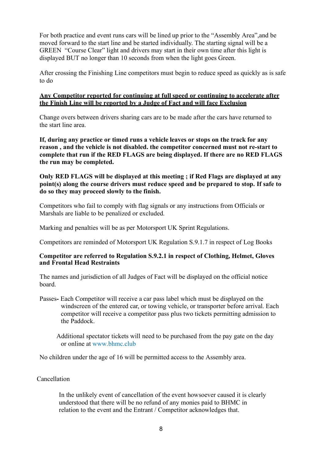For both practice and event runs cars will be lined up prior to the "Assembly Area",and be moved forward to the start line and be started individually. The starting signal will be a GREEN "Course Clear" light and drivers may start in their own time after this light is displayed BUT no longer than 10 seconds from when the light goes Green.

After crossing the Finishing Line competitors must begin to reduce speed as quickly as is safe to do

#### **Any Competitor reported for continuing at full speed or continuing to accelerate after the Finish Line will be reported by a Judge of Fact and will face Exclusion**

Change overs between drivers sharing cars are to be made after the cars have returned to the start line area.

**If, during any practice or timed runs a vehicle leaves or stops on the track for any reason , and the vehicle is not disabled. the competitor concerned must not re-start to complete that run if the RED FLAGS are being displayed. If there are no RED FLAGS the run may be completed.**

#### **Only RED FLAGS will be displayed at this meeting ; if Red Flags are displayed at any point(s) along the course drivers must reduce speed and be prepared to stop. If safe to do so they may proceed slowly to the finish.**

Competitors who fail to comply with flag signals or any instructions from Officials or Marshals are liable to be penalized or excluded.

Marking and penalties will be as per Motorsport UK Sprint Regulations.

Competitors are reminded of Motorsport UK Regulation S.9.1.7 in respect of Log Books

#### **Competitor are referred to Regulation S.9.2.1 in respect of Clothing, Helmet, Gloves and Frontal Head Restraints**

The names and jurisdiction of all Judges of Fact will be displayed on the official notice board.

Passes**-** Each Competitor will receive a car pass label which must be displayed on the windscreen of the entered car, or towing vehicle, or transporter before arrival. Each competitor will receive a competitor pass plus two tickets permitting admission to the Paddock.

Additional spectator tickets will need to be purchased from the pay gate on the day or online at www.bhmc.club

No children under the age of 16 will be permitted access to the Assembly area.

#### Cancellation

In the unlikely event of cancellation of the event howsoever caused it is clearly understood that there will be no refund of any monies paid to BHMC in relation to the event and the Entrant / Competitor acknowledges that.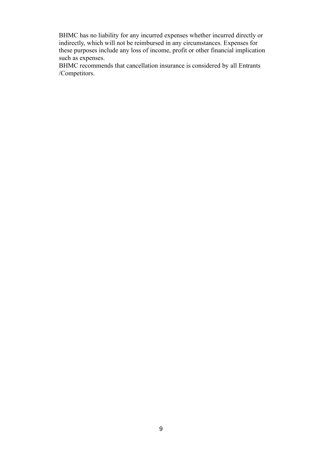BHMC has no liability for any incurred expenses whether incurred directly or indirectly, which will not be reimbursed in any circumstances. Expenses for these purposes include any loss of income, profit or other financial implication such as expenses.

BHMC recommends that cancellation insurance is considered by all Entrants /Competitors.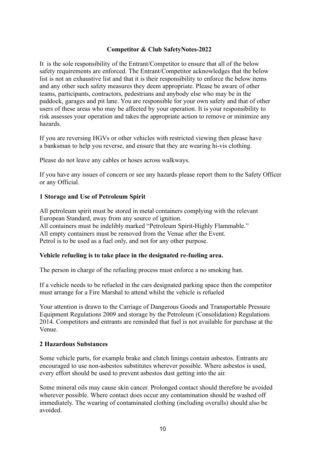#### **Competitor & Club SafetyNotes-2022**

It is the sole responsibility of the Entrant/Competitor to ensure that all of the below safety requirements are enforced. The Entrant/Competitor acknowledges that the below list is not an exhaustive list and that it is their responsibility to enforce the below items and any other such safety measures they deem appropriate. Please be aware of other teams, participants, contractors, pedestrians and anybody else who may be in the paddock, garages and pit lane. You are responsible for your own safety and that of other users of these areas who may be affected by your operation. It is your responsibility to risk assesses your operation and takes the appropriate action to remove or minimize any hazards.

If you are reversing HGVs or other vehicles with restricted viewing then please have a banksman to help you reverse, and ensure that they are wearing hi-vis clothing.

Please do not leave any cables or hoses across walkways.

If you have any issues of concern or see any hazards please report them to the Safety Officer or any Official.

#### **1 Storage and Use of Petroleum Spirit**

All petroleum spirit must be stored in metal containers complying with the relevant European Standard, away from any source of ignition. All containers must be indelibly marked "Petroleum Spirit-Highly Flammable." All empty containers must be removed from the Venue after the Event. Petrol is to be used as a fuel only, and not for any other purpose.

## **Vehicle refueling is to take place in the designated re-fueling area.**

The person in charge of the refueling process must enforce a no smoking ban.

If a vehicle needs to be refueled in the cars designated parking space then the competitor must arrange for a Fire Marshal to attend whilst the vehicle is refueled

Your attention is drawn to the Carriage of Dangerous Goods and Transportable Pressure Equipment Regulations 2009 and storage by the Petroleum (Consolidation) Regulations 2014. Competitors and entrants are reminded that fuel is not available for purchase at the Venue.

#### **2 Hazardous Substances**

Some vehicle parts, for example brake and clutch linings contain asbestos. Entrants are encouraged to use non-asbestos substitutes wherever possible. Where asbestos is used, every effort should be used to prevent asbestos dust getting into the air.

Some mineral oils may cause skin cancer. Prolonged contact should therefore be avoided wherever possible. Where contact does occur any contamination should be washed off immediately. The wearing of contaminated clothing (including overalls) should also be avoided.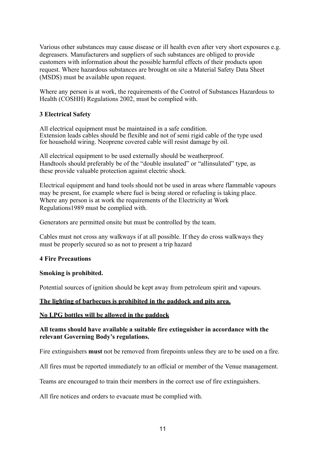Various other substances may cause disease or ill health even after very short exposures e.g. degreasers. Manufacturers and suppliers of such substances are obliged to provide customers with information about the possible harmful effects of their products upon request. Where hazardous substances are brought on site a Material Safety Data Sheet (MSDS) must be available upon request.

Where any person is at work, the requirements of the Control of Substances Hazardous to Health (COSHH) Regulations 2002, must be complied with.

### **3 Electrical Safety**

All electrical equipment must be maintained in a safe condition. Extension leads cables should be flexible and not of semi rigid cable of the type used for household wiring. Neoprene covered cable will resist damage by oil.

All electrical equipment to be used externally should be weatherproof. Handtools should preferably be of the "double insulated" or "allinsulated" type, as these provide valuable protection against electric shock.

Electrical equipment and hand tools should not be used in areas where flammable vapours may be present, for example where fuel is being stored or refueling is taking place. Where any person is at work the requirements of the Electricity at Work Regulations1989 must be complied with.

Generators are permitted onsite but must be controlled by the team.

Cables must not cross any walkways if at all possible. If they do cross walkways they must be properly secured so as not to present a trip hazard

#### **4 Fire Precautions**

#### **Smoking is prohibited.**

Potential sources of ignition should be kept away from petroleum spirit and vapours.

#### **The lighting of barbecues is prohibited in the paddock and pits area.**

#### **No LPG bottles will be allowed in the paddock**

#### **All teams should have available a suitable fire extinguisher in accordance with the relevant Governing Body's regulations.**

Fire extinguishers **must** not be removed from firepoints unless they are to be used on a fire.

All fires must be reported immediately to an official or member of the Venue management.

Teams are encouraged to train their members in the correct use of fire extinguishers.

All fire notices and orders to evacuate must be complied with.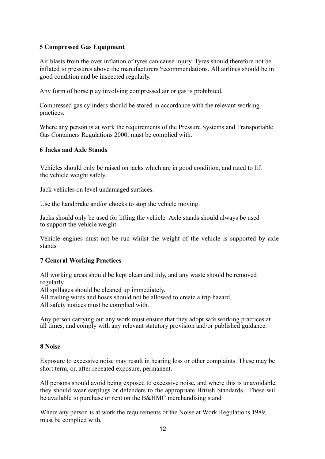## **5 Compressed Gas Equipment**

Air blasts from the over inflation of tyres can cause injury. Tyres should therefore not be inflated to pressures above the manufacturers 'recommendations. All airlines should be in good condition and be inspected regularly.

Any form of horse play involving compressed air or gas is prohibited.

Compressed gas cylinders should be stored in accordance with the relevant working practices.

Where any person is at work the requirements of the Pressure Systems and Transportable Gas Containers Regulations 2000, must be complied with.

#### **6 Jacks and Axle Stands**

Vehicles should only be raised on jacks which are in good condition, and rated to lift the vehicle weight safely.

Jack vehicles on level undamaged surfaces.

Use the handbrake and/or chocks to stop the vehicle moving.

Jacks should only be used for lifting the vehicle. Axle stands should always be used to support the vehicle weight.

Vehicle engines must not be run whilst the weight of the vehicle is supported by axle stands

## **7 General Working Practices**

All working areas should be kept clean and tidy, and any waste should be removed regularly.

All spillages should be cleaned up immediately.

All trailing wires and hoses should not be allowed to create a trip hazard.

All safety notices must be complied with.

Any person carrying out any work must ensure that they adopt safe working practices at all times, and comply with any relevant statutory provision and/or published guidance.

#### **8 Noise**

Exposure to excessive noise may result in hearing loss or other complaints. These may be short term, or, after repeated exposure, permanent.

All persons should avoid being exposed to excessive noise, and where this is unavoidable, they should wear earplugs or defenders to the appropriate British Standards. These will be available to purchase or rent on the B&HMC merchandising stand

Where any person is at work the requirements of the Noise at Work Regulations 1989, must be complied with.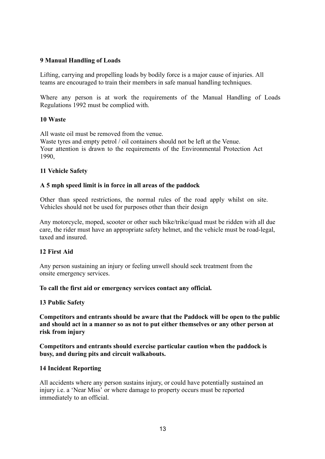## **9 Manual Handling of Loads**

Lifting, carrying and propelling loads by bodily force is a major cause of injuries. All teams are encouraged to train their members in safe manual handling techniques.

Where any person is at work the requirements of the Manual Handling of Loads Regulations 1992 must be complied with.

#### **10 Waste**

All waste oil must be removed from the venue. Waste tyres and empty petrol / oil containers should not be left at the Venue. Your attention is drawn to the requirements of the Environmental Protection Act 1990,

#### **11 Vehicle Safety**

#### **A 5 mph speed limit is in force in all areas of the paddock**

Other than speed restrictions, the normal rules of the road apply whilst on site. Vehicles should not be used for purposes other than their design

Any motorcycle, moped, scooter or other such bike/trike/quad must be ridden with all due care, the rider must have an appropriate safety helmet, and the vehicle must be road-legal, taxed and insured.

#### **12 First Aid**

Any person sustaining an injury or feeling unwell should seek treatment from the onsite emergency services.

**To call the first aid or emergency services contact any official.**

#### **13 Public Safety**

**Competitors and entrants should be aware that the Paddock will be open to the public and should act in a manner so as not to put either themselves or any other person at risk from injury**

**Competitors and entrants should exercise particular caution when the paddock is busy, and during pits and circuit walkabouts.**

#### **14 Incident Reporting**

All accidents where any person sustains injury, or could have potentially sustained an injury i.e. a 'Near Miss' or where damage to property occurs must be reported immediately to an official.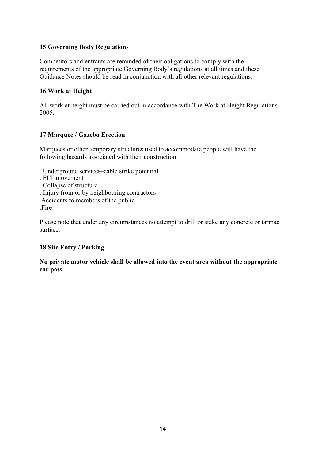## **15 Governing Body Regulations**

Competitors and entrants are reminded of their obligations to comply with the requirements of the appropriate Governing Body's regulations at all times and these Guidance Notes should be read in conjunction with all other relevant regulations.

## **16 Work at Height**

All work at height must be carried out in accordance with The Work at Height Regulations 2005.

## **17 Marquee / Gazebo Erection**

Marquees or other temporary structures used to accommodate people will have the following hazards associated with their construction:

- . Underground services–cable strike potential
- . FLT movement
- . Collapse of structure
- . Injury from or by neighbouring contractors
- .Accidents to members of the public

.Fire

Please note that under any circumstances no attempt to drill or stake any concrete or tarmac surface.

## **18 Site Entry / Parking**

**No private motor vehicle shall be allowed into the event area without the appropriate car pass.**